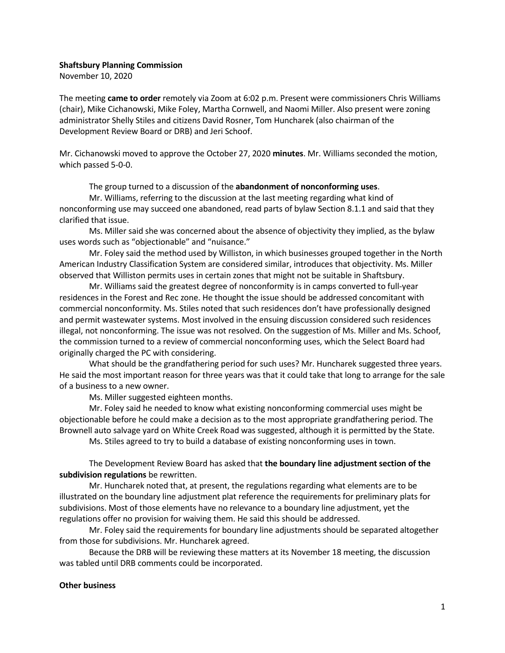## Shaftsbury Planning Commission

November 10, 2020

The meeting came to order remotely via Zoom at 6:02 p.m. Present were commissioners Chris Williams (chair), Mike Cichanowski, Mike Foley, Martha Cornwell, and Naomi Miller. Also present were zoning administrator Shelly Stiles and citizens David Rosner, Tom Huncharek (also chairman of the Development Review Board or DRB) and Jeri Schoof.

Mr. Cichanowski moved to approve the October 27, 2020 minutes. Mr. Williams seconded the motion, which passed 5-0-0.

The group turned to a discussion of the **abandonment of nonconforming uses**.

Mr. Williams, referring to the discussion at the last meeting regarding what kind of nonconforming use may succeed one abandoned, read parts of bylaw Section 8.1.1 and said that they clarified that issue.

Ms. Miller said she was concerned about the absence of objectivity they implied, as the bylaw uses words such as "objectionable" and "nuisance."

Mr. Foley said the method used by Williston, in which businesses grouped together in the North American Industry Classification System are considered similar, introduces that objectivity. Ms. Miller observed that Williston permits uses in certain zones that might not be suitable in Shaftsbury.

Mr. Williams said the greatest degree of nonconformity is in camps converted to full-year residences in the Forest and Rec zone. He thought the issue should be addressed concomitant with commercial nonconformity. Ms. Stiles noted that such residences don't have professionally designed and permit wastewater systems. Most involved in the ensuing discussion considered such residences illegal, not nonconforming. The issue was not resolved. On the suggestion of Ms. Miller and Ms. Schoof, the commission turned to a review of commercial nonconforming uses, which the Select Board had originally charged the PC with considering.

What should be the grandfathering period for such uses? Mr. Huncharek suggested three years. He said the most important reason for three years was that it could take that long to arrange for the sale of a business to a new owner.

Ms. Miller suggested eighteen months.

Mr. Foley said he needed to know what existing nonconforming commercial uses might be objectionable before he could make a decision as to the most appropriate grandfathering period. The Brownell auto salvage yard on White Creek Road was suggested, although it is permitted by the State.

Ms. Stiles agreed to try to build a database of existing nonconforming uses in town.

The Development Review Board has asked that the boundary line adjustment section of the subdivision regulations be rewritten.

Mr. Huncharek noted that, at present, the regulations regarding what elements are to be illustrated on the boundary line adjustment plat reference the requirements for preliminary plats for subdivisions. Most of those elements have no relevance to a boundary line adjustment, yet the regulations offer no provision for waiving them. He said this should be addressed.

Mr. Foley said the requirements for boundary line adjustments should be separated altogether from those for subdivisions. Mr. Huncharek agreed.

Because the DRB will be reviewing these matters at its November 18 meeting, the discussion was tabled until DRB comments could be incorporated.

## Other business